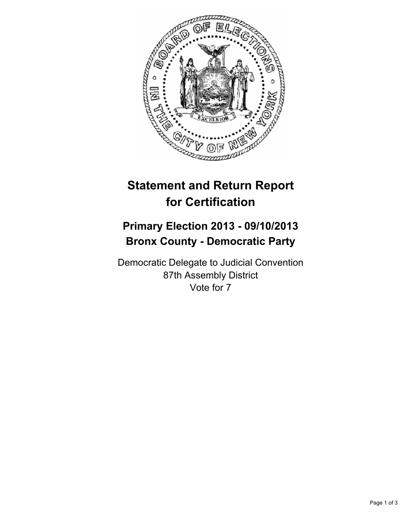

## **Statement and Return Report for Certification**

## **Primary Election 2013 - 09/10/2013 Bronx County - Democratic Party**

Democratic Delegate to Judicial Convention 87th Assembly District Vote for 7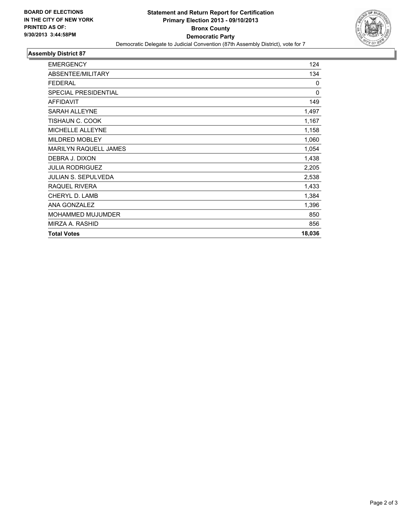

## **Assembly District 87**

| <b>EMERGENCY</b>            | 124         |
|-----------------------------|-------------|
| ABSENTEE/MILITARY           | 134         |
| <b>FEDERAL</b>              | 0           |
| <b>SPECIAL PRESIDENTIAL</b> | $\mathbf 0$ |
| <b>AFFIDAVIT</b>            | 149         |
| <b>SARAH ALLEYNE</b>        | 1,497       |
| TISHAUN C. COOK             | 1,167       |
| <b>MICHELLE ALLEYNE</b>     | 1,158       |
| <b>MILDRED MOBLEY</b>       | 1,060       |
| MARILYN RAQUELL JAMES       | 1,054       |
| DEBRA J. DIXON              | 1,438       |
| <b>JULIA RODRIGUEZ</b>      | 2,205       |
| <b>JULIAN S. SEPULVEDA</b>  | 2,538       |
| RAQUEL RIVERA               | 1,433       |
| CHERYL D. LAMB              | 1,384       |
| ANA GONZALEZ                | 1,396       |
| <b>MOHAMMED MUJUMDER</b>    | 850         |
| MIRZA A. RASHID             | 856         |
| <b>Total Votes</b>          | 18,036      |